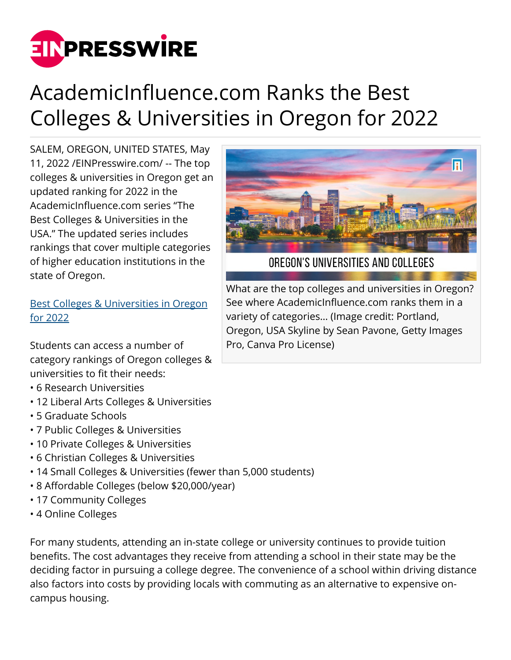

## AcademicInfluence.com Ranks the Best Colleges & Universities in Oregon for 2022

SALEM, OREGON, UNITED STATES, May 11, 2022 /[EINPresswire.com/](http://www.einpresswire.com) -- The top colleges & universities in Oregon get an updated ranking for 2022 in the AcademicInfluence.com series "The Best Colleges & Universities in the USA." The updated series includes rankings that cover multiple categories of higher education institutions in the state of Oregon.

[Best Colleges & Universities in Oregon](https://academicinfluence.com/go/statehub/or) [for 2022](https://academicinfluence.com/go/statehub/or)

Students can access a number of category rankings of Oregon colleges & universities to fit their needs:

- 6 Research Universities
- 12 Liberal Arts Colleges & Universities
- 5 Graduate Schools
- 7 Public Colleges & Universities
- 10 Private Colleges & Universities
- 6 Christian Colleges & Universities
- 14 Small Colleges & Universities (fewer than 5,000 students)
- 8 Affordable Colleges (below \$20,000/year)
- 17 Community Colleges
- 4 Online Colleges

For many students, attending an in-state college or university continues to provide tuition benefits. The cost advantages they receive from attending a school in their state may be the deciding factor in pursuing a college degree. The convenience of a school within driving distance also factors into costs by providing locals with commuting as an alternative to expensive oncampus housing.



OREGON'S UNIVERSITIES AND COLLEGES

What are the top colleges and universities in Oregon? See where AcademicInfluence.com ranks them in a variety of categories… (Image credit: Portland, Oregon, USA Skyline by Sean Pavone, Getty Images Pro, Canva Pro License)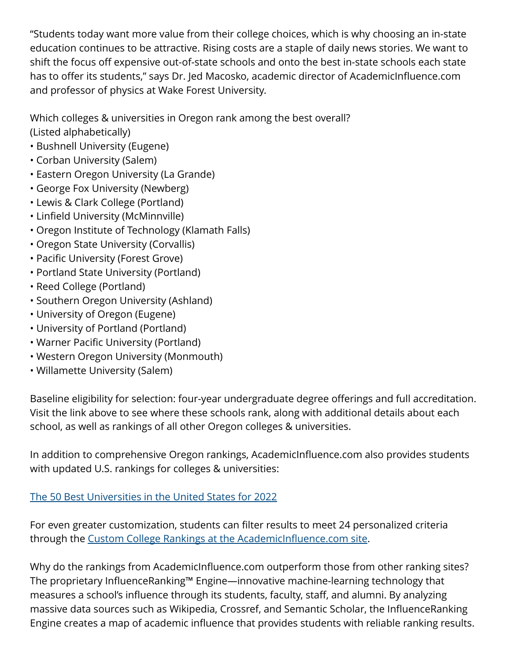"Students today want more value from their college choices, which is why choosing an in-state education continues to be attractive. Rising costs are a staple of daily news stories. We want to shift the focus off expensive out-of-state schools and onto the best in-state schools each state has to offer its students," says Dr. Jed Macosko, academic director of AcademicInfluence.com and professor of physics at Wake Forest University.

Which colleges & universities in Oregon rank among the best overall? (Listed alphabetically)

- Bushnell University (Eugene)
- Corban University (Salem)
- Eastern Oregon University (La Grande)
- George Fox University (Newberg)
- Lewis & Clark College (Portland)
- Linfield University (McMinnville)
- Oregon Institute of Technology (Klamath Falls)
- Oregon State University (Corvallis)
- Pacific University (Forest Grove)
- Portland State University (Portland)
- Reed College (Portland)
- Southern Oregon University (Ashland)
- University of Oregon (Eugene)
- University of Portland (Portland)
- Warner Pacific University (Portland)
- Western Oregon University (Monmouth)
- Willamette University (Salem)

Baseline eligibility for selection: four-year undergraduate degree offerings and full accreditation. Visit the link above to see where these schools rank, along with additional details about each school, as well as rankings of all other Oregon colleges & universities.

In addition to comprehensive Oregon rankings, AcademicInfluence.com also provides students with updated U.S. rankings for colleges & universities:

## [The 50 Best Universities in the United States for 2022](https://academicinfluence.com/go/statehub/usa)

For even greater customization, students can filter results to meet 24 personalized criteria through the [Custom College Rankings at the AcademicInfluence.com site](https://academicinfluence.com/go/statehub/ccr).

Why do the rankings from AcademicInfluence.com outperform those from other ranking sites? The proprietary InfluenceRanking™ Engine—innovative machine-learning technology that measures a school's influence through its students, faculty, staff, and alumni. By analyzing massive data sources such as Wikipedia, Crossref, and Semantic Scholar, the InfluenceRanking Engine creates a map of academic influence that provides students with reliable ranking results.